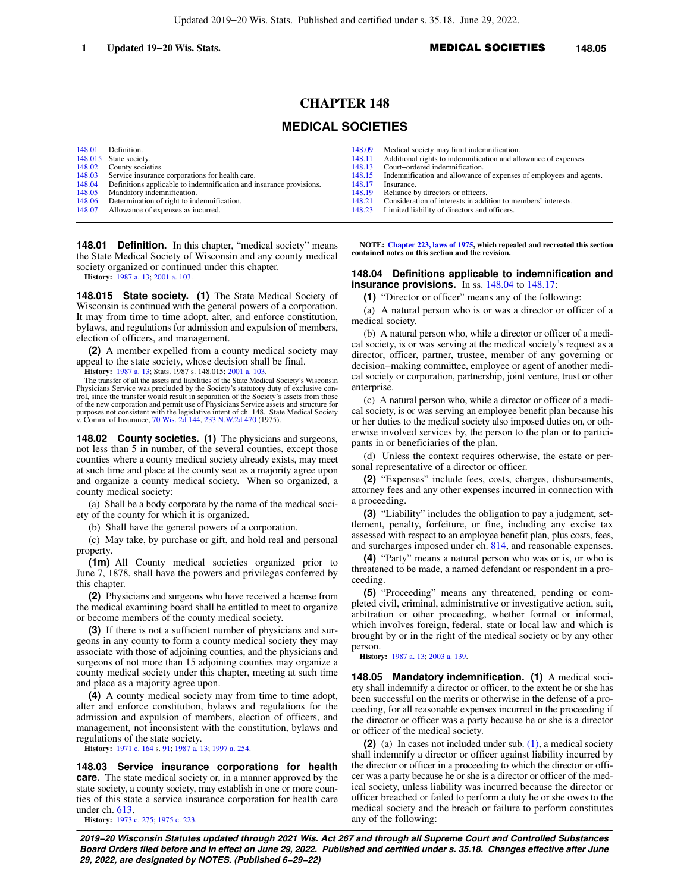# **CHAPTER 148**

## **MEDICAL SOCIETIES**

|               | 148.01 Definition.                                                  |
|---------------|---------------------------------------------------------------------|
|               | 148.015 State society.                                              |
|               | 148.02 County societies.                                            |
| 148.03        | Service insurance corporations for health care.                     |
| 148.04        | Definitions applicable to indemnification and insurance provisions. |
| 148.05        | Mandatory indemnification.                                          |
| $1.49 \Omega$ | Determination of right to indemnification                           |

- [148.06](https://docs.legis.wisconsin.gov/document/statutes/148.06) Determination of right to indemnification. [148.07](https://docs.legis.wisconsin.gov/document/statutes/148.07) Allowance of expenses as incurred.
- 

**148.01 Definition.** In this chapter, "medical society" means the State Medical Society of Wisconsin and any county medical society organized or continued under this chapter.

**History:** [1987 a. 13;](https://docs.legis.wisconsin.gov/document/acts/1987/13) [2001 a. 103.](https://docs.legis.wisconsin.gov/document/acts/2001/103)

**148.015 State society. (1)** The State Medical Society of Wisconsin is continued with the general powers of a corporation. It may from time to time adopt, alter, and enforce constitution, bylaws, and regulations for admission and expulsion of members, election of officers, and management.

**(2)** A member expelled from a county medical society may appeal to the state society, whose decision shall be final.

**History:** [1987 a. 13;](https://docs.legis.wisconsin.gov/document/acts/1987/13) Stats. 1987 s. 148.015; [2001 a. 103](https://docs.legis.wisconsin.gov/document/acts/2001/103).

The transfer of all the assets and liabilities of the State Medical Society's Wisconsin Physicians Service was precluded by the Society's statutory duty of exclusive control, since the transfer would result in separation of the Society's assets from those of the new corporation and permit use of Physicians Service assets and structure for purposes not consistent with the legislative intent of ch. 148. State Medical Society v. Comm. of Insurance, [70 Wis. 2d 144,](https://docs.legis.wisconsin.gov/document/courts/70%20Wis.%202d%20144) [233 N.W.2d 470](https://docs.legis.wisconsin.gov/document/courts/233%20N.W.2d%20470) (1975).

**148.02 County societies. (1)** The physicians and surgeons, not less than 5 in number, of the several counties, except those counties where a county medical society already exists, may meet at such time and place at the county seat as a majority agree upon and organize a county medical society. When so organized, a county medical society:

(a) Shall be a body corporate by the name of the medical society of the county for which it is organized.

(b) Shall have the general powers of a corporation.

(c) May take, by purchase or gift, and hold real and personal property.

**(1m)** All County medical societies organized prior to June 7, 1878, shall have the powers and privileges conferred by this chapter.

**(2)** Physicians and surgeons who have received a license from the medical examining board shall be entitled to meet to organize or become members of the county medical society.

**(3)** If there is not a sufficient number of physicians and surgeons in any county to form a county medical society they may associate with those of adjoining counties, and the physicians and surgeons of not more than 15 adjoining counties may organize a county medical society under this chapter, meeting at such time and place as a majority agree upon.

**(4)** A county medical society may from time to time adopt, alter and enforce constitution, bylaws and regulations for the admission and expulsion of members, election of officers, and management, not inconsistent with the constitution, bylaws and regulations of the state society.

**History:** [1971 c. 164](https://docs.legis.wisconsin.gov/document/acts/1971/164) s. [91](https://docs.legis.wisconsin.gov/document/acts/1971/164,%20s.%2091); [1987 a. 13;](https://docs.legis.wisconsin.gov/document/acts/1987/13) [1997 a. 254](https://docs.legis.wisconsin.gov/document/acts/1997/254).

**148.03 Service insurance corporations for health care.** The state medical society or, in a manner approved by the state society, a county society, may establish in one or more counties of this state a service insurance corporation for health care under ch. [613](https://docs.legis.wisconsin.gov/document/statutes/ch.%20613).

**History:** [1973 c. 275](https://docs.legis.wisconsin.gov/document/acts/1973/275); [1975 c. 223](https://docs.legis.wisconsin.gov/document/acts/1975/223).

- [148.09](https://docs.legis.wisconsin.gov/document/statutes/148.09) Medical society may limit indemnification.<br>148.11 Additional rights to indemnification and all
- [148.11](https://docs.legis.wisconsin.gov/document/statutes/148.11) Additional rights to indemnification and allowance of expenses.<br>148.13 Court-ordered indemnification.
- [148.13](https://docs.legis.wisconsin.gov/document/statutes/148.13) Court−ordered indemnification.
- [148.15](https://docs.legis.wisconsin.gov/document/statutes/148.15) Indemnification and allowance of expenses of employees and agents.
- [148.17](https://docs.legis.wisconsin.gov/document/statutes/148.17) Insurance.<br>148.19 Reliance b
- [148.19](https://docs.legis.wisconsin.gov/document/statutes/148.19) Reliance by directors or officers.<br>148.21 Consideration of interests in add
- [148.21](https://docs.legis.wisconsin.gov/document/statutes/148.21) Consideration of interests in addition to members' interests.<br>148.23 Limited liability of directors and officers
- Limited liability of directors and officers.

**NOTE: [Chapter 223, laws of 1975](https://docs.legis.wisconsin.gov/document/acts/1975/223), which repealed and recreated this section contained notes on this section and the revision.**

#### **148.04 Definitions applicable to indemnification and insurance provisions.** In ss. [148.04](https://docs.legis.wisconsin.gov/document/statutes/148.04) to [148.17:](https://docs.legis.wisconsin.gov/document/statutes/148.17)

**(1)** "Director or officer" means any of the following:

(a) A natural person who is or was a director or officer of a medical society.

(b) A natural person who, while a director or officer of a medical society, is or was serving at the medical society's request as a director, officer, partner, trustee, member of any governing or decision−making committee, employee or agent of another medical society or corporation, partnership, joint venture, trust or other enterprise.

(c) A natural person who, while a director or officer of a medical society, is or was serving an employee benefit plan because his or her duties to the medical society also imposed duties on, or otherwise involved services by, the person to the plan or to participants in or beneficiaries of the plan.

(d) Unless the context requires otherwise, the estate or personal representative of a director or officer.

**(2)** "Expenses" include fees, costs, charges, disbursements, attorney fees and any other expenses incurred in connection with a proceeding.

**(3)** "Liability" includes the obligation to pay a judgment, settlement, penalty, forfeiture, or fine, including any excise tax assessed with respect to an employee benefit plan, plus costs, fees, and surcharges imposed under ch. [814](https://docs.legis.wisconsin.gov/document/statutes/ch.%20814), and reasonable expenses.

**(4)** "Party" means a natural person who was or is, or who is threatened to be made, a named defendant or respondent in a proceeding.

**(5)** "Proceeding" means any threatened, pending or completed civil, criminal, administrative or investigative action, suit, arbitration or other proceeding, whether formal or informal, which involves foreign, federal, state or local law and which is brought by or in the right of the medical society or by any other person.

**History:** [1987 a. 13](https://docs.legis.wisconsin.gov/document/acts/1987/13); [2003 a. 139.](https://docs.legis.wisconsin.gov/document/acts/2003/139)

**148.05 Mandatory indemnification. (1)** A medical society shall indemnify a director or officer, to the extent he or she has been successful on the merits or otherwise in the defense of a proceeding, for all reasonable expenses incurred in the proceeding if the director or officer was a party because he or she is a director or officer of the medical society.

**(2)** (a) In cases not included under sub. [\(1\)](https://docs.legis.wisconsin.gov/document/statutes/148.05(1)), a medical society shall indemnify a director or officer against liability incurred by the director or officer in a proceeding to which the director or officer was a party because he or she is a director or officer of the medical society, unless liability was incurred because the director or officer breached or failed to perform a duty he or she owes to the medical society and the breach or failure to perform constitutes any of the following:

**2019−20 Wisconsin Statutes updated through 2021 Wis. Act 267 and through all Supreme Court and Controlled Substances Board Orders filed before and in effect on June 29, 2022. Published and certified under s. 35.18. Changes effective after June 29, 2022, are designated by NOTES. (Published 6−29−22)**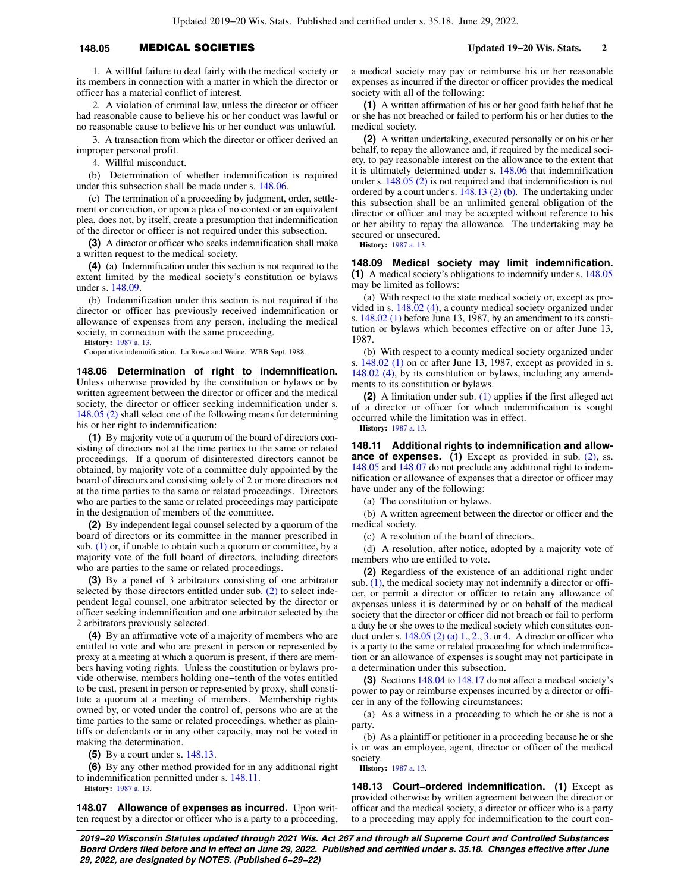### **148.05** MEDICAL SOCIETIES **Updated 19−20 Wis. Stats. 2**

1. A willful failure to deal fairly with the medical society or its members in connection with a matter in which the director or officer has a material conflict of interest.

2. A violation of criminal law, unless the director or officer had reasonable cause to believe his or her conduct was lawful or no reasonable cause to believe his or her conduct was unlawful.

3. A transaction from which the director or officer derived an improper personal profit.

4. Willful misconduct.

(b) Determination of whether indemnification is required under this subsection shall be made under s. [148.06](https://docs.legis.wisconsin.gov/document/statutes/148.06).

(c) The termination of a proceeding by judgment, order, settlement or conviction, or upon a plea of no contest or an equivalent plea, does not, by itself, create a presumption that indemnification of the director or officer is not required under this subsection.

**(3)** A director or officer who seeks indemnification shall make a written request to the medical society.

**(4)** (a) Indemnification under this section is not required to the extent limited by the medical society's constitution or bylaws under s. [148.09.](https://docs.legis.wisconsin.gov/document/statutes/148.09)

(b) Indemnification under this section is not required if the director or officer has previously received indemnification or allowance of expenses from any person, including the medical society, in connection with the same proceeding.

**History:** [1987 a. 13.](https://docs.legis.wisconsin.gov/document/acts/1987/13)

Cooperative indemnification. La Rowe and Weine. WBB Sept. 1988.

**148.06 Determination of right to indemnification.** Unless otherwise provided by the constitution or bylaws or by written agreement between the director or officer and the medical society, the director or officer seeking indemnification under s. [148.05 \(2\)](https://docs.legis.wisconsin.gov/document/statutes/148.05(2)) shall select one of the following means for determining his or her right to indemnification:

**(1)** By majority vote of a quorum of the board of directors consisting of directors not at the time parties to the same or related proceedings. If a quorum of disinterested directors cannot be obtained, by majority vote of a committee duly appointed by the board of directors and consisting solely of 2 or more directors not at the time parties to the same or related proceedings. Directors who are parties to the same or related proceedings may participate in the designation of members of the committee.

**(2)** By independent legal counsel selected by a quorum of the board of directors or its committee in the manner prescribed in sub.  $(1)$  or, if unable to obtain such a quorum or committee, by a majority vote of the full board of directors, including directors who are parties to the same or related proceedings.

**(3)** By a panel of 3 arbitrators consisting of one arbitrator selected by those directors entitled under sub. [\(2\)](https://docs.legis.wisconsin.gov/document/statutes/148.06(2)) to select independent legal counsel, one arbitrator selected by the director or officer seeking indemnification and one arbitrator selected by the 2 arbitrators previously selected.

**(4)** By an affirmative vote of a majority of members who are entitled to vote and who are present in person or represented by proxy at a meeting at which a quorum is present, if there are members having voting rights. Unless the constitution or bylaws provide otherwise, members holding one−tenth of the votes entitled to be cast, present in person or represented by proxy, shall constitute a quorum at a meeting of members. Membership rights owned by, or voted under the control of, persons who are at the time parties to the same or related proceedings, whether as plaintiffs or defendants or in any other capacity, may not be voted in making the determination.

**(5)** By a court under s. [148.13.](https://docs.legis.wisconsin.gov/document/statutes/148.13)

**(6)** By any other method provided for in any additional right to indemnification permitted under s. [148.11](https://docs.legis.wisconsin.gov/document/statutes/148.11).

**History:** [1987 a. 13.](https://docs.legis.wisconsin.gov/document/acts/1987/13)

**148.07 Allowance of expenses as incurred.** Upon written request by a director or officer who is a party to a proceeding, a medical society may pay or reimburse his or her reasonable expenses as incurred if the director or officer provides the medical society with all of the following:

**(1)** A written affirmation of his or her good faith belief that he or she has not breached or failed to perform his or her duties to the medical society.

**(2)** A written undertaking, executed personally or on his or her behalf, to repay the allowance and, if required by the medical society, to pay reasonable interest on the allowance to the extent that it is ultimately determined under s. [148.06](https://docs.legis.wisconsin.gov/document/statutes/148.06) that indemnification under s. [148.05 \(2\)](https://docs.legis.wisconsin.gov/document/statutes/148.05(2)) is not required and that indemnification is not ordered by a court under s. [148.13 \(2\) \(b\)](https://docs.legis.wisconsin.gov/document/statutes/148.13(2)(b)). The undertaking under this subsection shall be an unlimited general obligation of the director or officer and may be accepted without reference to his or her ability to repay the allowance. The undertaking may be secured or unsecured.

**History:** [1987 a. 13](https://docs.legis.wisconsin.gov/document/acts/1987/13).

**148.09 Medical society may limit indemnification. (1)** A medical society's obligations to indemnify under s. [148.05](https://docs.legis.wisconsin.gov/document/statutes/148.05) may be limited as follows:

(a) With respect to the state medical society or, except as provided in s. [148.02 \(4\)](https://docs.legis.wisconsin.gov/document/statutes/148.02(4)), a county medical society organized under s. [148.02 \(1\)](https://docs.legis.wisconsin.gov/document/statutes/148.02(1)) before June 13, 1987, by an amendment to its constitution or bylaws which becomes effective on or after June 13, 1987.

(b) With respect to a county medical society organized under s. [148.02 \(1\)](https://docs.legis.wisconsin.gov/document/statutes/148.02(1)) on or after June 13, 1987, except as provided in s. [148.02 \(4\)](https://docs.legis.wisconsin.gov/document/statutes/148.02(4)), by its constitution or bylaws, including any amendments to its constitution or bylaws.

**(2)** A limitation under sub. [\(1\)](https://docs.legis.wisconsin.gov/document/statutes/148.09(1)) applies if the first alleged act of a director or officer for which indemnification is sought occurred while the limitation was in effect. **History:** [1987 a. 13](https://docs.legis.wisconsin.gov/document/acts/1987/13).

**148.11 Additional rights to indemnification and allowance of expenses.** (1) Except as provided in sub. [\(2\)](https://docs.legis.wisconsin.gov/document/statutes/148.11(2)), ss. [148.05](https://docs.legis.wisconsin.gov/document/statutes/148.05) and [148.07](https://docs.legis.wisconsin.gov/document/statutes/148.07) do not preclude any additional right to indemnification or allowance of expenses that a director or officer may have under any of the following:

(a) The constitution or bylaws.

(b) A written agreement between the director or officer and the medical society.

(c) A resolution of the board of directors.

(d) A resolution, after notice, adopted by a majority vote of members who are entitled to vote.

**(2)** Regardless of the existence of an additional right under sub. [\(1\)](https://docs.legis.wisconsin.gov/document/statutes/148.11(1)), the medical society may not indemnify a director or officer, or permit a director or officer to retain any allowance of expenses unless it is determined by or on behalf of the medical society that the director or officer did not breach or fail to perform a duty he or she owes to the medical society which constitutes conduct under s.  $148.05$  (2) (a) 1, 2, 3, or [4.](https://docs.legis.wisconsin.gov/document/statutes/148.05(2)(a)4.) A director or officer who is a party to the same or related proceeding for which indemnification or an allowance of expenses is sought may not participate in a determination under this subsection.

**(3)** Sections [148.04](https://docs.legis.wisconsin.gov/document/statutes/148.04) to [148.17](https://docs.legis.wisconsin.gov/document/statutes/148.17) do not affect a medical society's power to pay or reimburse expenses incurred by a director or officer in any of the following circumstances:

(a) As a witness in a proceeding to which he or she is not a party.

(b) As a plaintiff or petitioner in a proceeding because he or she is or was an employee, agent, director or officer of the medical society.

**History:** [1987 a. 13](https://docs.legis.wisconsin.gov/document/acts/1987/13).

**148.13 Court−ordered indemnification. (1)** Except as provided otherwise by written agreement between the director or officer and the medical society, a director or officer who is a party to a proceeding may apply for indemnification to the court con-

**2019−20 Wisconsin Statutes updated through 2021 Wis. Act 267 and through all Supreme Court and Controlled Substances Board Orders filed before and in effect on June 29, 2022. Published and certified under s. 35.18. Changes effective after June 29, 2022, are designated by NOTES. (Published 6−29−22)**